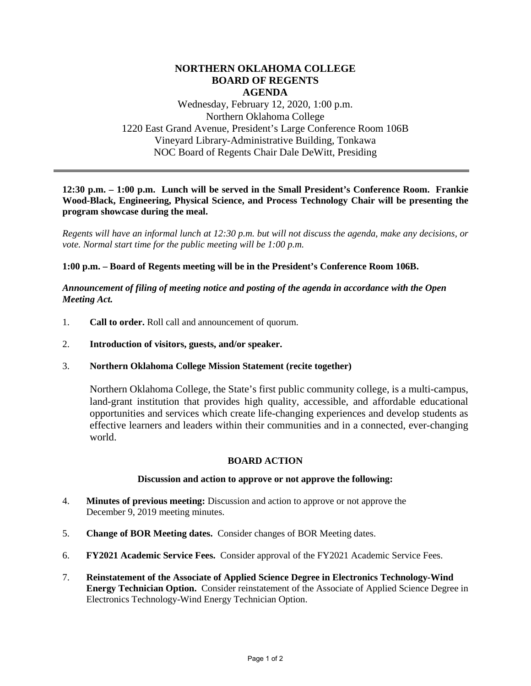# **NORTHERN OKLAHOMA COLLEGE BOARD OF REGENTS AGENDA**

Wednesday, February 12, 2020, 1:00 p.m. Northern Oklahoma College 1220 East Grand Avenue, President's Large Conference Room 106B Vineyard Library-Administrative Building, Tonkawa NOC Board of Regents Chair Dale DeWitt, Presiding

### **12:30 p.m. – 1:00 p.m. Lunch will be served in the Small President's Conference Room. Frankie Wood-Black, Engineering, Physical Science, and Process Technology Chair will be presenting the program showcase during the meal.**

*Regents will have an informal lunch at 12:30 p.m. but will not discuss the agenda, make any decisions, or vote. Normal start time for the public meeting will be 1:00 p.m.* 

### **1:00 p.m. – Board of Regents meeting will be in the President's Conference Room 106B.**

*Announcement of filing of meeting notice and posting of the agenda in accordance with the Open Meeting Act.*

- 1. **Call to order.** Roll call and announcement of quorum.
- 2. **Introduction of visitors, guests, and/or speaker.**
- 3. **Northern Oklahoma College Mission Statement (recite together)**

Northern Oklahoma College, the State's first public community college, is a multi-campus, land-grant institution that provides high quality, accessible, and affordable educational opportunities and services which create life-changing experiences and develop students as effective learners and leaders within their communities and in a connected, ever-changing world.

#### **BOARD ACTION**

#### **Discussion and action to approve or not approve the following:**

- 4. **Minutes of previous meeting:** Discussion and action to approve or not approve the December 9, 2019 meeting minutes.
- 5. **Change of BOR Meeting dates.** Consider changes of BOR Meeting dates.
- 6. **FY2021 Academic Service Fees.** Consider approval of the FY2021 Academic Service Fees.
- 7. **Reinstatement of the Associate of Applied Science Degree in Electronics Technology-Wind Energy Technician Option.** Consider reinstatement of the Associate of Applied Science Degree in Electronics Technology-Wind Energy Technician Option.